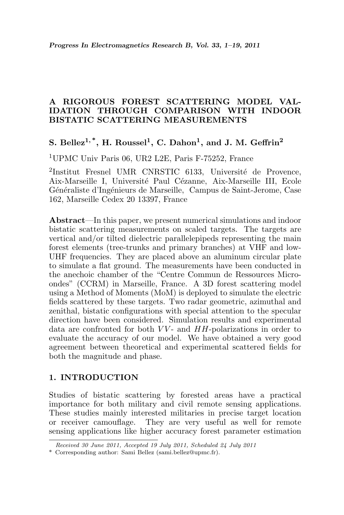# A RIGOROUS FOREST SCATTERING MODEL VAL-IDATION THROUGH COMPARISON WITH INDOOR BISTATIC SCATTERING MEASUREMENTS

# S. Bellez<sup>1,\*</sup>, H. Roussel<sup>1</sup>, C. Dahon<sup>1</sup>, and J. M. Geffrin<sup>2</sup>

<sup>1</sup>UPMC Univ Paris 06, UR2 L2E, Paris F-75252, France

<sup>2</sup>Institut Fresnel UMR CNRSTIC 6133, Université de Provence, Aix-Marseille I, Université Paul Cézanne, Aix-Marseille III, Ecole Généraliste d'Ingénieurs de Marseille, Campus de Saint-Jerome, Case 162, Marseille Cedex 20 13397, France

Abstract—In this paper, we present numerical simulations and indoor bistatic scattering measurements on scaled targets. The targets are vertical and/or tilted dielectric parallelepipeds representing the main forest elements (tree-trunks and primary branches) at VHF and low-UHF frequencies. They are placed above an aluminum circular plate to simulate a flat ground. The measurements have been conducted in the anechoic chamber of the "Centre Commun de Ressources Microondes" (CCRM) in Marseille, France. A 3D forest scattering model using a Method of Moments (MoM) is deployed to simulate the electric fields scattered by these targets. Two radar geometric, azimuthal and zenithal, bistatic configurations with special attention to the specular direction have been considered. Simulation results and experimental data are confronted for both  $VV$ - and  $HH$ -polarizations in order to evaluate the accuracy of our model. We have obtained a very good agreement between theoretical and experimental scattered fields for both the magnitude and phase.

## 1. INTRODUCTION

Studies of bistatic scattering by forested areas have a practical importance for both military and civil remote sensing applications. These studies mainly interested militaries in precise target location or receiver camouflage. They are very useful as well for remote sensing applications like higher accuracy forest parameter estimation

Received 30 June 2011, Accepted 19 July 2011, Scheduled 24 July 2011

<sup>\*</sup> Corresponding author: Sami Bellez (sami.bellez@upmc.fr).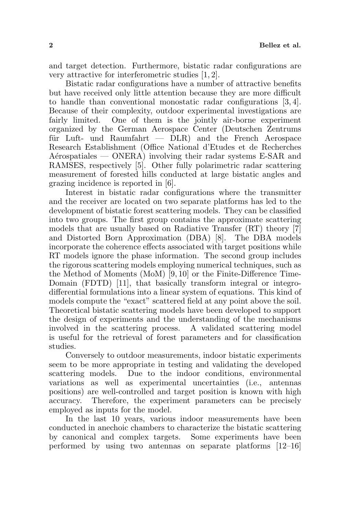and target detection. Furthermore, bistatic radar configurations are very attractive for interferometric studies [1, 2].

Bistatic radar configurations have a number of attractive benefits but have received only little attention because they are more difficult to handle than conventional monostatic radar configurations [3, 4]. Because of their complexity, outdoor experimental investigations are fairly limited. One of them is the jointly air-borne experiment organized by the German Aerospace Center (Deutschen Zentrums für Luft- und Raumfahrt  $-$  DLR) and the French Aerospace Research Establishment (Office National d'Etudes et de Recherches  $Aérospatiales - ONERA$ ) involving their radar systems E-SAR and RAMSES, respectively [5]. Other fully polarimetric radar scattering measurement of forested hills conducted at large bistatic angles and grazing incidence is reported in [6].

Interest in bistatic radar configurations where the transmitter and the receiver are located on two separate platforms has led to the development of bistatic forest scattering models. They can be classified into two groups. The first group contains the approximate scattering models that are usually based on Radiative Transfer (RT) theory [7] and Distorted Born Approximation (DBA) [8]. The DBA models incorporate the coherence effects associated with target positions while RT models ignore the phase information. The second group includes the rigorous scattering models employing numerical techniques, such as the Method of Moments (MoM) [9, 10] or the Finite-Difference Time-Domain (FDTD) [11], that basically transform integral or integrodifferential formulations into a linear system of equations. This kind of models compute the "exact" scattered field at any point above the soil. Theoretical bistatic scattering models have been developed to support the design of experiments and the understanding of the mechanisms involved in the scattering process. A validated scattering model is useful for the retrieval of forest parameters and for classification studies.

Conversely to outdoor measurements, indoor bistatic experiments seem to be more appropriate in testing and validating the developed scattering models. Due to the indoor conditions, environmental variations as well as experimental uncertainties (i.e., antennas positions) are well-controlled and target position is known with high accuracy. Therefore, the experiment parameters can be precisely employed as inputs for the model.

In the last 10 years, various indoor measurements have been conducted in anechoic chambers to characterize the bistatic scattering by canonical and complex targets. Some experiments have been performed by using two antennas on separate platforms [12–16]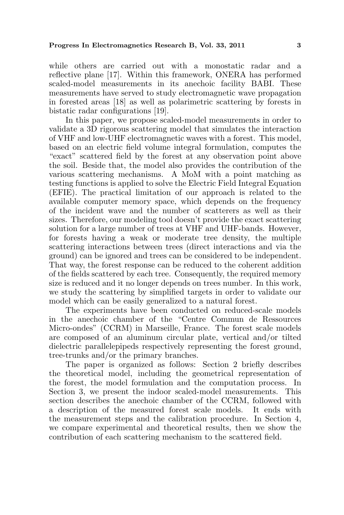while others are carried out with a monostatic radar and a reflective plane [17]. Within this framework, ONERA has performed scaled-model measurements in its anechoic facility BABI. These measurements have served to study electromagnetic wave propagation in forested areas [18] as well as polarimetric scattering by forests in bistatic radar configurations [19].

In this paper, we propose scaled-model measurements in order to validate a 3D rigorous scattering model that simulates the interaction of VHF and low-UHF electromagnetic waves with a forest. This model, based on an electric field volume integral formulation, computes the "exact" scattered field by the forest at any observation point above the soil. Beside that, the model also provides the contribution of the various scattering mechanisms. A MoM with a point matching as testing functions is applied to solve the Electric Field Integral Equation (EFIE). The practical limitation of our approach is related to the available computer memory space, which depends on the frequency of the incident wave and the number of scatterers as well as their sizes. Therefore, our modeling tool doesn't provide the exact scattering solution for a large number of trees at VHF and UHF-bands. However, for forests having a weak or moderate tree density, the multiple scattering interactions between trees (direct interactions and via the ground) can be ignored and trees can be considered to be independent. That way, the forest response can be reduced to the coherent addition of the fields scattered by each tree. Consequently, the required memory size is reduced and it no longer depends on trees number. In this work, we study the scattering by simplified targets in order to validate our model which can be easily generalized to a natural forest.

The experiments have been conducted on reduced-scale models in the anechoic chamber of the "Centre Commun de Ressources Micro-ondes" (CCRM) in Marseille, France. The forest scale models are composed of an aluminum circular plate, vertical and/or tilted dielectric parallelepipeds respectively representing the forest ground, tree-trunks and/or the primary branches.

The paper is organized as follows: Section 2 briefly describes the theoretical model, including the geometrical representation of the forest, the model formulation and the computation process. In Section 3, we present the indoor scaled-model measurements. This section describes the anechoic chamber of the CCRM, followed with a description of the measured forest scale models. It ends with the measurement steps and the calibration procedure. In Section 4, we compare experimental and theoretical results, then we show the contribution of each scattering mechanism to the scattered field.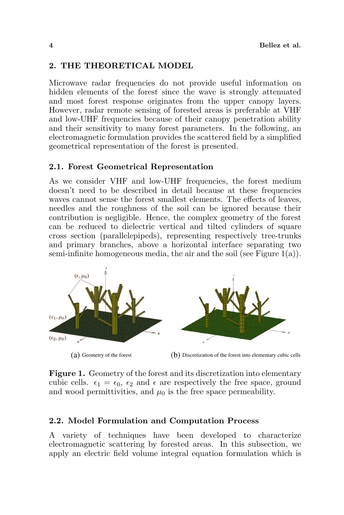# 2. THE THEORETICAL MODEL

Microwave radar frequencies do not provide useful information on hidden elements of the forest since the wave is strongly attenuated and most forest response originates from the upper canopy layers. However, radar remote sensing of forested areas is preferable at VHF and low-UHF frequencies because of their canopy penetration ability and their sensitivity to many forest parameters. In the following, an electromagnetic formulation provides the scattered field by a simplified geometrical representation of the forest is presented.

# 2.1. Forest Geometrical Representation

As we consider VHF and low-UHF frequencies, the forest medium doesn't need to be described in detail because at these frequencies waves cannot sense the forest smallest elements. The effects of leaves, needles and the roughness of the soil can be ignored because their contribution is negligible. Hence, the complex geometry of the forest can be reduced to dielectric vertical and tilted cylinders of square cross section (parallelepipeds), representing respectively tree-trunks and primary branches, above a horizontal interface separating two semi-infinite homogeneous media, the air and the soil (see Figure  $1(a)$ ).



Figure 1. Geometry of the forest and its discretization into elementary cubic cells.  $\epsilon_1 = \epsilon_0$ ,  $\epsilon_2$  and  $\epsilon$  are respectively the free space, ground and wood permittivities, and  $\mu_0$  is the free space permeability.

# 2.2. Model Formulation and Computation Process

A variety of techniques have been developed to characterize electromagnetic scattering by forested areas. In this subsection, we apply an electric field volume integral equation formulation which is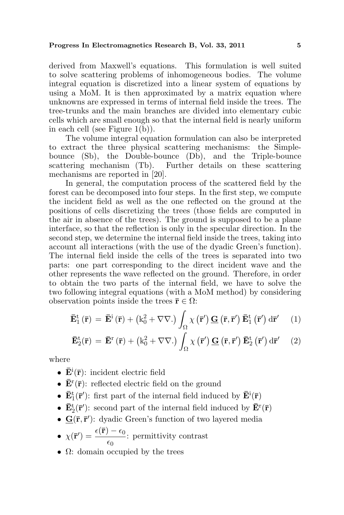derived from Maxwell's equations. This formulation is well suited to solve scattering problems of inhomogeneous bodies. The volume integral equation is discretized into a linear system of equations by using a MoM. It is then approximated by a matrix equation where unknowns are expressed in terms of internal field inside the trees. The tree-trunks and the main branches are divided into elementary cubic cells which are small enough so that the internal field is nearly uniform in each cell (see Figure 1(b)).

The volume integral equation formulation can also be interpreted to extract the three physical scattering mechanisms: the Simplebounce (Sb), the Double-bounce (Db), and the Triple-bounce scattering mechanism (Tb). Further details on these scattering mechanisms are reported in [20].

In general, the computation process of the scattered field by the forest can be decomposed into four steps. In the first step, we compute the incident field as well as the one reflected on the ground at the positions of cells discretizing the trees (those fields are computed in the air in absence of the trees). The ground is supposed to be a plane interface, so that the reflection is only in the specular direction. In the second step, we determine the internal field inside the trees, taking into account all interactions (with the use of the dyadic Green's function). The internal field inside the cells of the trees is separated into two parts: one part corresponding to the direct incident wave and the other represents the wave reflected on the ground. Therefore, in order to obtain the two parts of the internal field, we have to solve the two following integral equations (with a MoM method) by considering observation points inside the trees  $\bar{\mathbf{r}} \in \Omega$ :

$$
\mathbf{\bar{E}}_{1}^{\mathrm{t}}\left(\mathbf{\bar{r}}\right)=\mathbf{\bar{E}}^{\mathrm{i}}\left(\mathbf{\bar{r}}\right)+\left(k_{0}^{2}+\nabla\nabla.\right)\int_{\Omega}\chi\left(\mathbf{\bar{r}}^{\prime}\right)\mathbf{\underline{G}}\left(\mathbf{\bar{r}},\mathbf{\bar{r}}^{\prime}\right)\mathbf{\bar{E}}_{1}^{\mathrm{t}}\left(\mathbf{\bar{r}}^{\prime}\right)\mathrm{d}\mathbf{\bar{r}}^{\prime}\qquad(1)
$$

$$
\mathbf{\bar{E}}_{2}^{t}(\mathbf{\bar{r}}) = \mathbf{\bar{E}}^{r}(\mathbf{\bar{r}}) + (k_{0}^{2} + \nabla\nabla.) \int_{\Omega} \chi(\mathbf{\bar{r}}') \mathbf{\underline{G}}(\mathbf{\bar{r}}, \mathbf{\bar{r}}') \mathbf{\bar{E}}_{2}^{t}(\mathbf{\bar{r}}') d\mathbf{\bar{r}}' \quad (2)
$$

where

- $\bar{\mathbf{E}}^{\text{i}}(\bar{\mathbf{r}})$ : incident electric field
- $\mathbf{\bar{E}}^{r}(\mathbf{\bar{r}})$ : reflected electric field on the ground
- $\bullet \; \bar{\mathbf{E}}^{\text{t}}_1(\bar{\mathbf{r}}')$  first part of the internal field induced by  $\bar{\mathbf{E}}^{\text{i}}(\bar{\mathbf{r}})$
- $\bullet \; \bar{\mathbf{E}}^{\text{t}}_2(\bar{\mathbf{r}}')$  second part of the internal field induced by  $\bar{\mathbf{E}}^{\text{r}}(\bar{\mathbf{r}})$
- $\mathbf{G}(\bar{\mathbf{r}}, \bar{\mathbf{r}}')$ : dyadic Green's function of two layered media
- $\bullet~~ \chi(\overline{\bf r}')=\frac{\epsilon(\overline{\bf r})-\epsilon_0}{ }$  $\frac{\epsilon_0}{\epsilon_0}$ : permittivity contrast
- $\Omega$ : domain occupied by the trees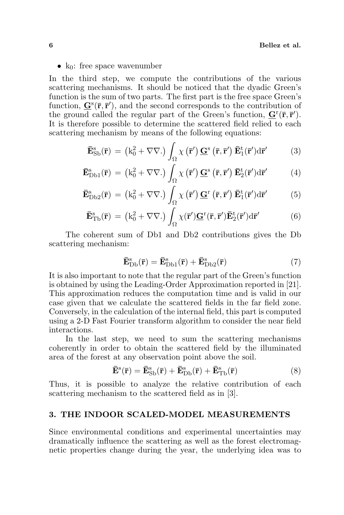•  $k_0$ : free space wavenumber

In the third step, we compute the contributions of the various scattering mechanisms. It should be noticed that the dyadic Green's function is the sum of two parts. The first part is the free space Green's function,  $\underline{G}^{s}(\overline{r}, \overline{r}')$ , and the second corresponds to the contribution of the ground called the regular part of the Green's function,  ${\bf G}^{\rm r}(\bar{{\bf r}},\bar{{\bf r}}')$ . It is therefore possible to determine the scattered field relied to each scattering mechanism by means of the following equations:

$$
\bar{\mathbf{E}}_{\mathrm{Sb}}^{\mathrm{s}}(\bar{\mathbf{r}}) = (k_0^2 + \nabla \nabla \cdot) \int_{\Omega} \chi(\bar{\mathbf{r}}') \underline{\mathbf{G}}^{\mathrm{s}}(\bar{\mathbf{r}}, \bar{\mathbf{r}}') \bar{\mathbf{E}}_1^{\mathrm{t}}(\bar{\mathbf{r}}') d\bar{\mathbf{r}}'
$$
(3)

$$
\mathbf{\bar{E}}_{\mathrm{Db1}}^{\mathrm{s}}(\mathbf{\bar{r}}) = (k_0^2 + \nabla \nabla.) \int_{\Omega} \chi(\mathbf{\bar{r}}') \mathbf{\underline{G}}^{\mathrm{s}}(\mathbf{\bar{r}}, \mathbf{\bar{r}}') \mathbf{\bar{E}}_2^{\mathrm{t}}(\mathbf{\bar{r}}') d\mathbf{\bar{r}}'
$$
(4)

$$
\mathbf{\bar{E}}_{\rm Db2}^{\rm s}(\mathbf{\bar{r}}) = \left(k_0^2 + \nabla\nabla.\right) \int_{\Omega} \chi\left(\mathbf{\bar{r}}'\right) \mathbf{\underline{G}}^{\rm r}\left(\mathbf{\bar{r}}, \mathbf{\bar{r}}'\right) \mathbf{\bar{E}}_1^{\rm t}(\mathbf{\bar{r}}') d\mathbf{\bar{r}}' \tag{5}
$$

$$
\mathbf{\bar{E}}_{\rm Tb}^{\rm s}(\mathbf{\bar{r}}) = (k_0^2 + \nabla \nabla.) \int_{\Omega} \chi(\mathbf{\bar{r}}') \mathbf{\underline{G}}^{\rm r}(\mathbf{\bar{r}}, \mathbf{\bar{r}}') \mathbf{\bar{E}}_2^{\rm t}(\mathbf{\bar{r}}') d\mathbf{\bar{r}}' \tag{6}
$$

The coherent sum of Db1 and Db2 contributions gives the Db scattering mechanism:

$$
\mathbf{\bar{E}}_{\mathrm{Db}}^{\mathrm{s}}(\mathbf{\bar{r}}) = \mathbf{\bar{E}}_{\mathrm{Db1}}^{\mathrm{s}}(\mathbf{\bar{r}}) + \mathbf{\bar{E}}_{\mathrm{Db2}}^{\mathrm{s}}(\mathbf{\bar{r}})
$$
\n(7)

It is also important to note that the regular part of the Green's function is obtained by using the Leading-Order Approximation reported in [21]. This approximation reduces the computation time and is valid in our case given that we calculate the scattered fields in the far field zone. Conversely, in the calculation of the internal field, this part is computed using a 2-D Fast Fourier transform algorithm to consider the near field interactions.

In the last step, we need to sum the scattering mechanisms coherently in order to obtain the scattered field by the illuminated area of the forest at any observation point above the soil.

$$
\mathbf{\bar{E}}^s(\mathbf{\bar{r}}) = \mathbf{\bar{E}}^s_{\mathrm{Sb}}(\mathbf{\bar{r}}) + \mathbf{\bar{E}}^s_{\mathrm{Db}}(\mathbf{\bar{r}}) + \mathbf{\bar{E}}^s_{\mathrm{Tb}}(\mathbf{\bar{r}})
$$
(8)

Thus, it is possible to analyze the relative contribution of each scattering mechanism to the scattered field as in [3].

### 3. THE INDOOR SCALED-MODEL MEASUREMENTS

Since environmental conditions and experimental uncertainties may dramatically influence the scattering as well as the forest electromagnetic properties change during the year, the underlying idea was to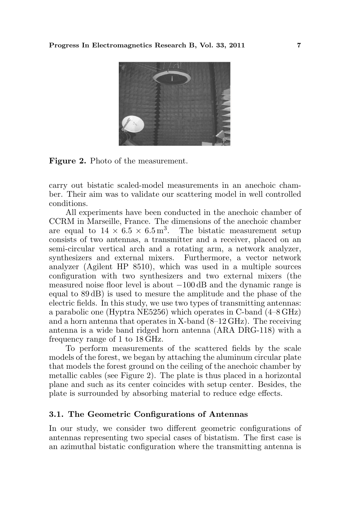

Figure 2. Photo of the measurement.

carry out bistatic scaled-model measurements in an anechoic chamber. Their aim was to validate our scattering model in well controlled conditions.

All experiments have been conducted in the anechoic chamber of CCRM in Marseille, France. The dimensions of the anechoic chamber are equal to  $14 \times 6.5 \times 6.5$  m<sup>3</sup>. The bistatic measurement setup consists of two antennas, a transmitter and a receiver, placed on an semi-circular vertical arch and a rotating arm, a network analyzer, synthesizers and external mixers. Furthermore, a vector network analyzer (Agilent HP 8510), which was used in a multiple sources configuration with two synthesizers and two external mixers (the measured noise floor level is about −100 dB and the dynamic range is equal to 89 dB) is used to mesure the amplitude and the phase of the electric fields. In this study, we use two types of transmitting antennas: a parabolic one (Hyptra NE5256) which operates in C-band (4–8 GHz) and a horn antenna that operates in X-band  $(8-12 \text{ GHz})$ . The receiving antenna is a wide band ridged horn antenna (ARA DRG-118) with a frequency range of 1 to 18 GHz.

To perform measurements of the scattered fields by the scale models of the forest, we began by attaching the aluminum circular plate that models the forest ground on the ceiling of the anechoic chamber by metallic cables (see Figure 2). The plate is thus placed in a horizontal plane and such as its center coincides with setup center. Besides, the plate is surrounded by absorbing material to reduce edge effects.

#### 3.1. The Geometric Configurations of Antennas

In our study, we consider two different geometric configurations of antennas representing two special cases of bistatism. The first case is an azimuthal bistatic configuration where the transmitting antenna is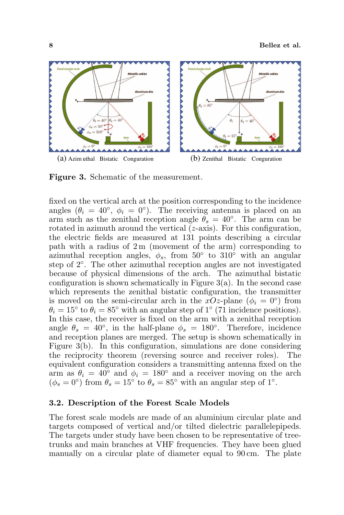

Figure 3. Schematic of the measurement.

fixed on the vertical arch at the position corresponding to the incidence angles  $(\theta_i = 40^{\circ}, \phi_i = 0^{\circ}).$  The receiving antenna is placed on an arm such as the zenithal reception angle  $\ddot{\theta_s} = 40^\circ$ . The arm can be rotated in azimuth around the vertical (z-axis). For this configuration, the electric fields are measured at 131 points describing a circular path with a radius of  $2m$  (movement of the arm) corresponding to azimuthal reception angles,  $\phi_s$ , from 50° to 310<sup>°</sup> with an angular step of 2◦ . The other azimuthal reception angles are not investigated because of physical dimensions of the arch. The azimuthal bistatic configuration is shown schematically in Figure  $3(a)$ . In the second case which represents the zenithal bistatic configuration, the transmitter is moved on the semi-circular arch in the  $xOz$ -plane  $(\phi_i = 0^{\circ})$  from  $\theta_i = 15^\circ$  to  $\theta_i = 85^\circ$  with an angular step of 1° (71 incidence positions). In this case, the receiver is fixed on the arm with a zenithal reception angle  $\theta_s = 40^\circ$ , in the half-plane  $\phi_s = 180^\circ$ . Therefore, incidence and reception planes are merged. The setup is shown schematically in Figure 3(b). In this configuration, simulations are done considering the reciprocity theorem (reversing source and receiver roles). The equivalent configuration considers a transmitting antenna fixed on the arm as  $\theta_i = 40^\circ$  and  $\phi_i = 180^\circ$  and a receiver moving on the arch  $(\phi_s = 0^{\circ})$  from  $\theta_s = 15^{\circ}$  to  $\theta_s = 85^{\circ}$  with an angular step of 1°.

### 3.2. Description of the Forest Scale Models

The forest scale models are made of an aluminium circular plate and targets composed of vertical and/or tilted dielectric parallelepipeds. The targets under study have been chosen to be representative of treetrunks and main branches at VHF frequencies. They have been glued manually on a circular plate of diameter equal to 90 cm. The plate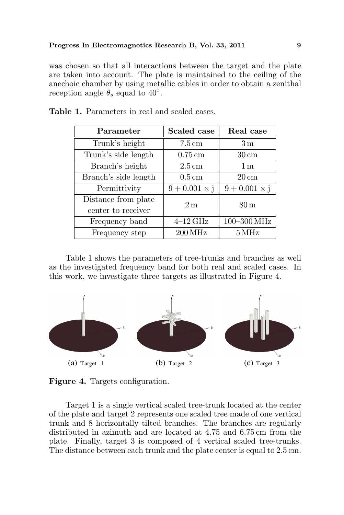was chosen so that all interactions between the target and the plate are taken into account. The plate is maintained to the ceiling of the anechoic chamber by using metallic cables in order to obtain a zenithal reception angle  $\theta_s$  equal to 40°.

| Parameter                                 | Scaled case          | Real case            |
|-------------------------------------------|----------------------|----------------------|
| Trunk's height                            | $7.5 \text{ cm}$     | 3 <sub>m</sub>       |
| Trunk's side length                       | $0.75 \,\mathrm{cm}$ | $30 \,\mathrm{cm}$   |
| Branch's height                           | $2.5 \,\mathrm{cm}$  | 1 <sub>m</sub>       |
| Branch's side length                      | $0.5 \,\mathrm{cm}$  | $20 \,\mathrm{cm}$   |
| Permittivity                              | $9 + 0.001 \times j$ | $9 + 0.001 \times j$ |
| Distance from plate<br>center to receiver | 2m                   | $80\,\mathrm{m}$     |
| Frequency band                            | $4-12$ GHz           | 100-300 MHz          |
| Frequency step                            | $200\,\mathrm{MHz}$  | $5\,\mathrm{MHz}$    |

Table 1. Parameters in real and scaled cases.

Table 1 shows the parameters of tree-trunks and branches as well as the investigated frequency band for both real and scaled cases. In this work, we investigate three targets as illustrated in Figure 4.



Figure 4. Targets configuration.

Target 1 is a single vertical scaled tree-trunk located at the center of the plate and target 2 represents one scaled tree made of one vertical trunk and 8 horizontally tilted branches. The branches are regularly distributed in azimuth and are located at 4.75 and 6.75 cm from the plate. Finally, target 3 is composed of 4 vertical scaled tree-trunks. The distance between each trunk and the plate center is equal to 2.5 cm.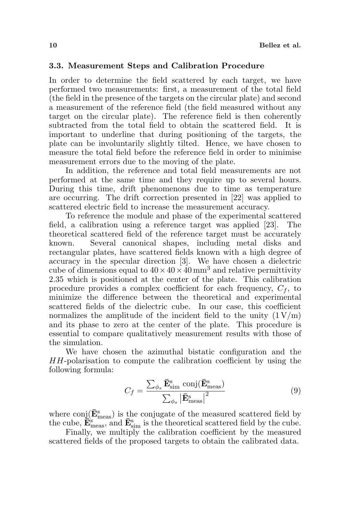#### 3.3. Measurement Steps and Calibration Procedure

In order to determine the field scattered by each target, we have performed two measurements: first, a measurement of the total field (the field in the presence of the targets on the circular plate) and second a measurement of the reference field (the field measured without any target on the circular plate). The reference field is then coherently subtracted from the total field to obtain the scattered field. It is important to underline that during positioning of the targets, the plate can be involuntarily slightly tilted. Hence, we have chosen to measure the total field before the reference field in order to minimise measurement errors due to the moving of the plate.

In addition, the reference and total field measurements are not performed at the same time and they require up to several hours. During this time, drift phenomenons due to time as temperature are occurring. The drift correction presented in [22] was applied to scattered electric field to increase the measurement accuracy.

To reference the module and phase of the experimental scattered field, a calibration using a reference target was applied [23]. The theoretical scattered field of the reference target must be accurately known. Several canonical shapes, including metal disks and rectangular plates, have scattered fields known with a high degree of accuracy in the specular direction [3]. We have chosen a dielectric cube of dimensions equal to  $40 \times 40 \times 40$  mm<sup>3</sup> and relative permittivity 2.35 which is positioned at the center of the plate. This calibration procedure provides a complex coefficient for each frequency,  $C_f$ , to minimize the difference between the theoretical and experimental scattered fields of the dielectric cube. In our case, this coefficient normalizes the amplitude of the incident field to the unity  $(1 V/m)$ and its phase to zero at the center of the plate. This procedure is essential to compare qualitatively measurement results with those of the simulation.

We have chosen the azimuthal bistatic configuration and the HH-polarisation to compute the calibration coefficient by using the following formula:

$$
C_f = \frac{\sum_{\phi_s} \bar{\mathbf{E}}_{sim}^{\rm s} \text{ conj}(\bar{\mathbf{E}}_{meas}^{\rm s})}{\sum_{\phi_s} |\bar{\mathbf{E}}_{meas}^{\rm s}|^2}
$$
(9)

where  $\mathrm{conj}(\bar{\mathbf{E}}^{\mathrm{s}}_{\mathrm{meas}})$  is the conjugate of the measured scattered field by the cube,  $\mathbf{\tilde{E}}_{meas}$ , and  $\mathbf{\bar{E}}_{sim}$  is the theoretical scattered field by the cube.

Finally, we multiply the calibration coefficient by the measured scattered fields of the proposed targets to obtain the calibrated data.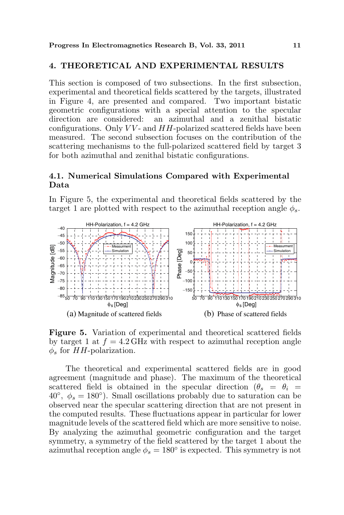### 4. THEORETICAL AND EXPERIMENTAL RESULTS

This section is composed of two subsections. In the first subsection, experimental and theoretical fields scattered by the targets, illustrated in Figure 4, are presented and compared. Two important bistatic geometric configurations with a special attention to the specular direction are considered: an azimuthal and a zenithal bistatic configurations. Only  $VV$ - and  $HH$ -polarized scattered fields have been measured. The second subsection focuses on the contribution of the scattering mechanisms to the full-polarized scattered field by target 3 for both azimuthal and zenithal bistatic configurations.

## 4.1. Numerical Simulations Compared with Experimental Data

In Figure 5, the experimental and theoretical fields scattered by the target 1 are plotted with respect to the azimuthal reception angle  $\phi_s$ .



Figure 5. Variation of experimental and theoretical scattered fields by target 1 at  $f = 4.2$  GHz with respect to azimuthal reception angle  $\phi_s$  for HH-polarization.

The theoretical and experimental scattered fields are in good agreement (magnitude and phase). The maximum of the theoretical scattered field is obtained in the specular direction  $(\theta_s = \theta_i$  $40^\circ$ ,  $\phi_s = 180^\circ$ ). Small oscillations probably due to saturation can be observed near the specular scattering direction that are not present in the computed results. These fluctuations appear in particular for lower magnitude levels of the scattered field which are more sensitive to noise. By analyzing the azimuthal geometric configuration and the target symmetry, a symmetry of the field scattered by the target 1 about the azimuthal reception angle  $\phi_s = 180^\circ$  is expected. This symmetry is not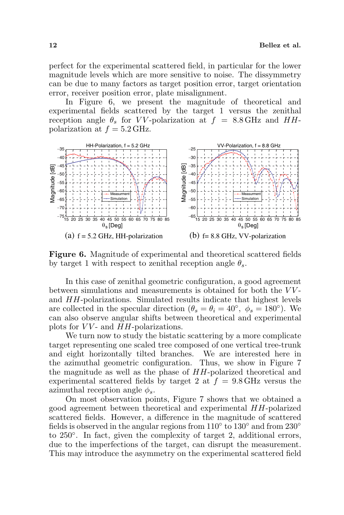perfect for the experimental scattered field, in particular for the lower magnitude levels which are more sensitive to noise. The dissymmetry can be due to many factors as target position error, target orientation error, receiver position error, plate misalignment.

In Figure 6, we present the magnitude of theoretical and experimental fields scattered by the target 1 versus the zenithal reception angle  $\theta_s$  for VV-polarization at  $f = 8.8$  GHz and HHpolarization at  $f = 5.2$  GHz.



Figure 6. Magnitude of experimental and theoretical scattered fields by target 1 with respect to zenithal reception angle  $\theta_s$ .

In this case of zenithal geometric configuration, a good agreement between simulations and measurements is obtained for both the  $VV$ and HH-polarizations. Simulated results indicate that highest levels are collected in the specular direction  $(\theta_s = \theta_i = 40^\circ, \phi_s = 180^\circ)$ . We can also observe angular shifts between theoretical and experimental plots for  $VV$ - and  $HH$ -polarizations.

We turn now to study the bistatic scattering by a more complicate target representing one scaled tree composed of one vertical tree-trunk and eight horizontally tilted branches. We are interested here in the azimuthal geometric configuration. Thus, we show in Figure 7 the magnitude as well as the phase of HH-polarized theoretical and experimental scattered fields by target 2 at  $f = 9.8$  GHz versus the azimuthal reception angle  $\phi_s$ .

On most observation points, Figure 7 shows that we obtained a good agreement between theoretical and experimental HH-polarized scattered fields. However, a difference in the magnitude of scattered fields is observed in the angular regions from  $110^{\circ}$  to  $130^{\circ}$  and from  $230^{\circ}$ to 250◦ . In fact, given the complexity of target 2, additional errors, due to the imperfections of the target, can disrupt the measurement. This may introduce the asymmetry on the experimental scattered field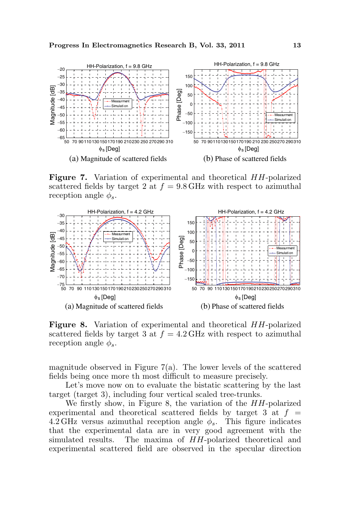

Figure 7. Variation of experimental and theoretical HH-polarized scattered fields by target 2 at  $f = 9.8$  GHz with respect to azimuthal reception angle  $\phi_s$ .



Figure 8. Variation of experimental and theoretical HH-polarized scattered fields by target 3 at  $f = 4.2$  GHz with respect to azimuthal reception angle  $\phi_s$ .

magnitude observed in Figure  $7(a)$ . The lower levels of the scattered fields being once more th most difficult to measure precisely.

Let's move now on to evaluate the bistatic scattering by the last target (target 3), including four vertical scaled tree-trunks.

We firstly show, in Figure 8, the variation of the  $HH$ -polarized experimental and theoretical scattered fields by target 3 at  $f =$ 4.2 GHz versus azimuthal reception angle  $\phi_s$ . This figure indicates that the experimental data are in very good agreement with the simulated results. The maxima of HH-polarized theoretical and experimental scattered field are observed in the specular direction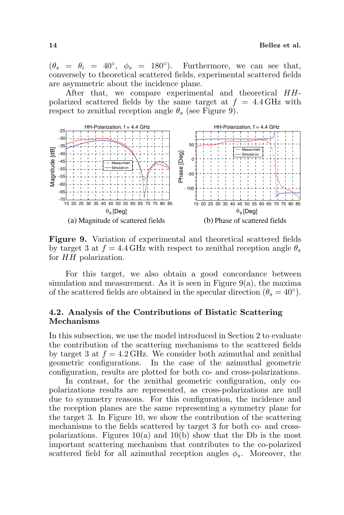$(\theta_s = \theta_i = 40^\circ, \phi_s = 180^\circ).$  Furthermore, we can see that, conversely to theoretical scattered fields, experimental scattered fields are asymmetric about the incidence plane.

After that, we compare experimental and theoretical HHpolarized scattered fields by the same target at  $f = 4.4$  GHz with respect to zenithal reception angle  $\theta_s$  (see Figure 9).



Figure 9. Variation of experimental and theoretical scattered fields by target 3 at  $f = 4.4$  GHz with respect to zenithal reception angle  $\theta_s$ for HH polarization.

For this target, we also obtain a good concordance between simulation and measurement. As it is seen in Figure  $9(a)$ , the maxima of the scattered fields are obtained in the specular direction  $(\theta_s = 40^{\circ})$ .

## 4.2. Analysis of the Contributions of Bistatic Scattering Mechanisms

In this subsection, we use the model introduced in Section 2 to evaluate the contribution of the scattering mechanisms to the scattered fields by target 3 at  $f = 4.2$  GHz. We consider both azimuthal and zenithal geometric configurations. In the case of the azimuthal geometric configuration, results are plotted for both co- and cross-polarizations.

In contrast, for the zenithal geometric configuration, only copolarizations results are represented, as cross-polarizations are null due to symmetry reasons. For this configuration, the incidence and the reception planes are the same representing a symmetry plane for the target 3. In Figure 10, we show the contribution of the scattering mechanisms to the fields scattered by target 3 for both co- and crosspolarizations. Figures  $10(a)$  and  $10(b)$  show that the Db is the most important scattering mechanism that contributes to the co-polarized scattered field for all azimuthal reception angles  $\phi_s$ . Moreover, the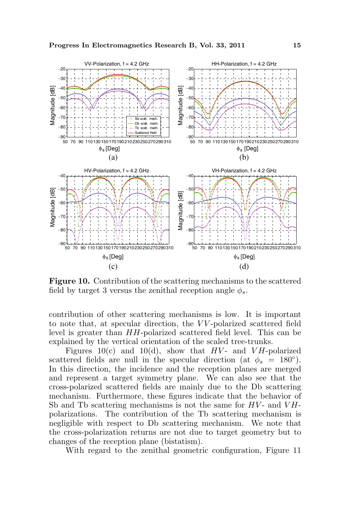

Figure 10. Contribution of the scattering mechanisms to the scattered field by target 3 versus the zenithal reception angle  $\phi_s$ .

contribution of other scattering mechanisms is low. It is important to note that, at specular direction, the VV-polarized scattered field level is greater than HH-polarized scattered field level. This can be explained by the vertical orientation of the scaled tree-trunks.

Figures 10(c) and 10(d), show that  $HV-$  and  $VH$ -polarized scattered fields are null in the specular direction (at  $\phi_s = 180^\circ$ ). In this direction, the incidence and the reception planes are merged and represent a target symmetry plane. We can also see that the cross-polarized scattered fields are mainly due to the Db scattering mechanism. Furthermore, these figures indicate that the behavior of Sb and Tb scattering mechanisms is not the same for  $HV-$  and  $VH$ polarizations. The contribution of the Tb scattering mechanism is negligible with respect to Db scattering mechanism. We note that the cross-polarization returns are not due to target geometry but to changes of the reception plane (bistatism).

With regard to the zenithal geometric configuration, Figure 11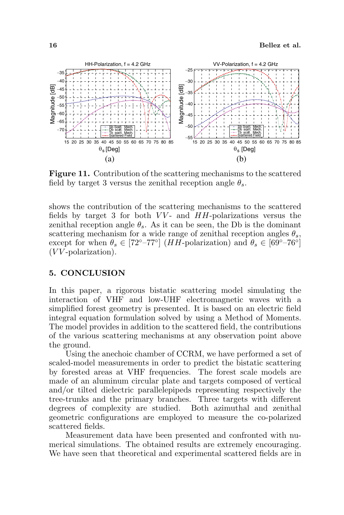

Figure 11. Contribution of the scattering mechanisms to the scattered field by target 3 versus the zenithal reception angle  $\theta_s$ .

shows the contribution of the scattering mechanisms to the scattered fields by target 3 for both  $VV$ - and  $HH$ -polarizations versus the zenithal reception angle  $\theta_s$ . As it can be seen, the Db is the dominant scattering mechanism for a wide range of zenithal reception angles  $\theta_s$ , except for when  $\theta_s \in [72^{\circ} - 77^{\circ}]$  (*HH*-polarization) and  $\theta_s \in [69^{\circ} - 76^{\circ}]$  $(VV\text{-polarization}).$ 

### 5. CONCLUSION

In this paper, a rigorous bistatic scattering model simulating the interaction of VHF and low-UHF electromagnetic waves with a simplified forest geometry is presented. It is based on an electric field integral equation formulation solved by using a Method of Moments. The model provides in addition to the scattered field, the contributions of the various scattering mechanisms at any observation point above the ground.

Using the anechoic chamber of CCRM, we have performed a set of scaled-model measurements in order to predict the bistatic scattering by forested areas at VHF frequencies. The forest scale models are made of an aluminum circular plate and targets composed of vertical and/or tilted dielectric parallelepipeds representing respectively the tree-trunks and the primary branches. Three targets with different degrees of complexity are studied. Both azimuthal and zenithal geometric configurations are employed to measure the co-polarized scattered fields.

Measurement data have been presented and confronted with numerical simulations. The obtained results are extremely encouraging. We have seen that theoretical and experimental scattered fields are in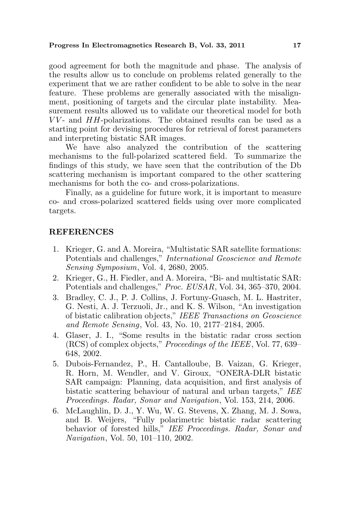good agreement for both the magnitude and phase. The analysis of the results allow us to conclude on problems related generally to the experiment that we are rather confident to be able to solve in the near feature. These problems are generally associated with the misalignment, positioning of targets and the circular plate instability. Measurement results allowed us to validate our theoretical model for both  $VV$ - and  $HH$ -polarizations. The obtained results can be used as a starting point for devising procedures for retrieval of forest parameters and interpreting bistatic SAR images.

We have also analyzed the contribution of the scattering mechanisms to the full-polarized scattered field. To summarize the findings of this study, we have seen that the contribution of the Db scattering mechanism is important compared to the other scattering mechanisms for both the co- and cross-polarizations.

Finally, as a guideline for future work, it is important to measure co- and cross-polarized scattered fields using over more complicated targets.

### **REFERENCES**

- 1. Krieger, G. and A. Moreira, "Multistatic SAR satellite formations: Potentials and challenges," International Geoscience and Remote Sensing Symposium, Vol. 4, 2680, 2005.
- 2. Krieger, G., H. Fiedler, and A. Moreira, "Bi- and multistatic SAR: Potentials and challenges," Proc. EUSAR, Vol. 34, 365–370, 2004.
- 3. Bradley, C. J., P. J. Collins, J. Fortuny-Guasch, M. L. Hastriter, G. Nesti, A. J. Terzuoli, Jr., and K. S. Wilson, "An investigation of bistatic calibration objects," IEEE Transactions on Geoscience and Remote Sensing, Vol. 43, No. 10, 2177–2184, 2005.
- 4. Glaser, J. I., "Some results in the bistatic radar cross section (RCS) of complex objects," Proceedings of the IEEE, Vol. 77, 639– 648, 2002.
- 5. Dubois-Fernandez, P., H. Cantalloube, B. Vaizan, G. Krieger, R. Horn, M. Wendler, and V. Giroux, "ONERA-DLR bistatic SAR campaign: Planning, data acquisition, and first analysis of bistatic scattering behaviour of natural and urban targets," IEE Proceedings. Radar, Sonar and Navigation, Vol. 153, 214, 2006.
- 6. McLaughlin, D. J., Y. Wu, W. G. Stevens, X. Zhang, M. J. Sowa, and B. Weijers, "Fully polarimetric bistatic radar scattering behavior of forested hills," IEE Proceedings. Radar, Sonar and Navigation, Vol. 50, 101–110, 2002.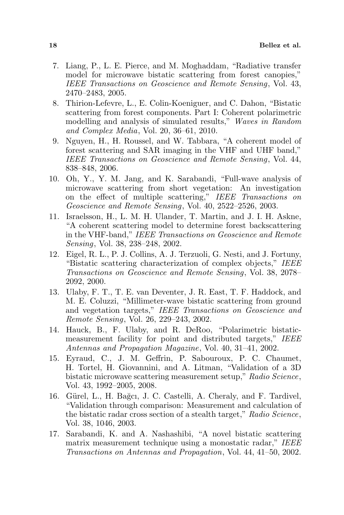- 7. Liang, P., L. E. Pierce, and M. Moghaddam, "Radiative transfer model for microwave bistatic scattering from forest canopies," IEEE Transactions on Geoscience and Remote Sensing, Vol. 43, 2470–2483, 2005.
- 8. Thirion-Lefevre, L., E. Colin-Koeniguer, and C. Dahon, "Bistatic scattering from forest components. Part I: Coherent polarimetric modelling and analysis of simulated results," Waves in Random and Complex Media, Vol. 20, 36–61, 2010.
- 9. Nguyen, H., H. Roussel, and W. Tabbara, "A coherent model of forest scattering and SAR imaging in the VHF and UHF band," IEEE Transactions on Geoscience and Remote Sensing, Vol. 44, 838–848, 2006.
- 10. Oh, Y., Y. M. Jang, and K. Sarabandi, "Full-wave analysis of microwave scattering from short vegetation: An investigation on the effect of multiple scattering," IEEE Transactions on Geoscience and Remote Sensing, Vol. 40, 2522–2526, 2003.
- 11. Israelsson, H., L. M. H. Ulander, T. Martin, and J. I. H. Askne, "A coherent scattering model to determine forest backscattering in the VHF-band," IEEE Transactions on Geoscience and Remote Sensing, Vol. 38, 238–248, 2002.
- 12. Eigel, R. L., P. J. Collins, A. J. Terzuoli, G. Nesti, and J. Fortuny, "Bistatic scattering characterization of complex objects," IEEE Transactions on Geoscience and Remote Sensing, Vol. 38, 2078– 2092, 2000.
- 13. Ulaby, F. T., T. E. van Deventer, J. R. East, T. F. Haddock, and M. E. Coluzzi, "Millimeter-wave bistatic scattering from ground and vegetation targets," IEEE Transactions on Geoscience and Remote Sensing, Vol. 26, 229–243, 2002.
- 14. Hauck, B., F. Ulaby, and R. DeRoo, "Polarimetric bistaticmeasurement facility for point and distributed targets," IEEE Antennas and Propagation Magazine, Vol. 40, 31–41, 2002.
- 15. Eyraud, C., J. M. Geffrin, P. Sabouroux, P. C. Chaumet, H. Tortel, H. Giovannini, and A. Litman, "Validation of a 3D bistatic microwave scattering measurement setup," Radio Science, Vol. 43, 1992–2005, 2008.
- 16. Gürel, L., H. Bağcı, J. C. Castelli, A. Cheraly, and F. Tardivel, "Validation through comparison: Measurement and calculation of the bistatic radar cross section of a stealth target," Radio Science, Vol. 38, 1046, 2003.
- 17. Sarabandi, K. and A. Nashashibi, "A novel bistatic scattering matrix measurement technique using a monostatic radar," IEEE Transactions on Antennas and Propagation, Vol. 44, 41–50, 2002.